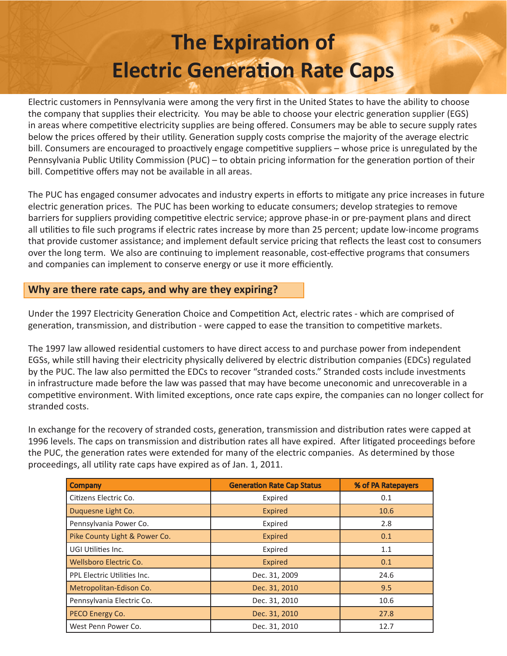# **The Expiration of Electric Generation Rate Caps**

Electric customers in Pennsylvania were among the very first in the United States to have the ability to choose the company that supplies their electricity. You may be able to choose your electric generation supplier (EGS) in areas where competitive electricity supplies are being offered. Consumers may be able to secure supply rates below the prices offered by their utility. Generation supply costs comprise the majority of the average electric bill. Consumers are encouraged to proactively engage competitive suppliers – whose price is unregulated by the Pennsylvania Public Utility Commission (PUC) – to obtain pricing information for the generation portion of their bill. Competitive offers may not be available in all areas.

The PUC has engaged consumer advocates and industry experts in efforts to mitigate any price increases in future electric generation prices. The PUC has been working to educate consumers; develop strategies to remove barriers for suppliers providing competitive electric service; approve phase-in or pre-payment plans and direct all utilities to file such programs if electric rates increase by more than 25 percent; update low-income programs that provide customer assistance; and implement default service pricing that reflects the least cost to consumers over the long term. We also are continuing to implement reasonable, cost-effective programs that consumers and companies can implement to conserve energy or use it more efficiently.

# **Why are there rate caps, and why are they expiring?**

Under the 1997 Electricity Generation Choice and Competition Act, electric rates - which are comprised of generation, transmission, and distribution - were capped to ease the transition to competitive markets.

The 1997 law allowed residential customers to have direct access to and purchase power from independent EGSs, while still having their electricity physically delivered by electric distribution companies (EDCs) regulated by the PUC. The law also permitted the EDCs to recover "stranded costs." Stranded costs include investments in infrastructure made before the law was passed that may have become uneconomic and unrecoverable in a competitive environment. With limited exceptions, once rate caps expire, the companies can no longer collect for stranded costs.

In exchange for the recovery of stranded costs, generation, transmission and distribution rates were capped at 1996 levels. The caps on transmission and distribution rates all have expired. After litigated proceedings before the PUC, the generation rates were extended for many of the electric companies. As determined by those proceedings, all utility rate caps have expired as of Jan. 1, 2011.

| <b>Company</b>                | <b>Generation Rate Cap Status</b> | % of PA Ratepayers |
|-------------------------------|-----------------------------------|--------------------|
| Citizens Electric Co.         | Expired                           | 0.1                |
| Duquesne Light Co.            | <b>Expired</b>                    | 10.6               |
| Pennsylvania Power Co.        | Expired                           | 2.8                |
| Pike County Light & Power Co. | <b>Expired</b>                    | 0.1                |
| UGI Utilities Inc.            | Expired                           | 1.1                |
| Wellsboro Electric Co.        | Expired                           | 0.1                |
| PPL Electric Utilities Inc.   | Dec. 31, 2009                     | 24.6               |
| Metropolitan-Edison Co.       | Dec. 31, 2010                     | 9.5                |
| Pennsylvania Electric Co.     | Dec. 31, 2010                     | 10.6               |
| PECO Energy Co.               | Dec. 31, 2010                     | 27.8               |
| West Penn Power Co.           | Dec. 31, 2010                     | 12.7               |